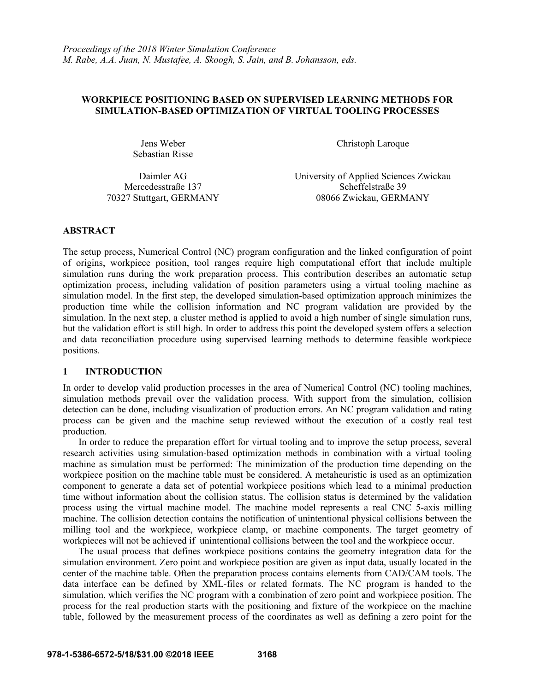### **WORKPIECE POSITIONING BASED ON SUPERVISED LEARNING METHODS FOR SIMULATION-BASED OPTIMIZATION OF VIRTUAL TOOLING PROCESSES**

Sebastian Risse

Jens Weber Christoph Laroque

Daimler AG Mercedesstraße 137

University of Applied Sciences Zwickau Scheffelstraße 39 70327 Stuttgart, GERMANY 08066 Zwickau, GERMANY

# **ABSTRACT**

The setup process, Numerical Control (NC) program configuration and the linked configuration of point of origins, workpiece position, tool ranges require high computational effort that include multiple simulation runs during the work preparation process. This contribution describes an automatic setup optimization process, including validation of position parameters using a virtual tooling machine as simulation model. In the first step, the developed simulation-based optimization approach minimizes the production time while the collision information and NC program validation are provided by the simulation. In the next step, a cluster method is applied to avoid a high number of single simulation runs, but the validation effort is still high. In order to address this point the developed system offers a selection and data reconciliation procedure using supervised learning methods to determine feasible workpiece positions.

# **1 INTRODUCTION**

In order to develop valid production processes in the area of Numerical Control (NC) tooling machines, simulation methods prevail over the validation process. With support from the simulation, collision detection can be done, including visualization of production errors. An NC program validation and rating process can be given and the machine setup reviewed without the execution of a costly real test production.

 In order to reduce the preparation effort for virtual tooling and to improve the setup process, several research activities using simulation-based optimization methods in combination with a virtual tooling machine as simulation must be performed: The minimization of the production time depending on the workpiece position on the machine table must be considered. A metaheuristic is used as an optimization component to generate a data set of potential workpiece positions which lead to a minimal production time without information about the collision status. The collision status is determined by the validation process using the virtual machine model. The machine model represents a real CNC 5-axis milling machine. The collision detection contains the notification of unintentional physical collisions between the milling tool and the workpiece, workpiece clamp, or machine components. The target geometry of workpieces will not be achieved if unintentional collisions between the tool and the workpiece occur.

The usual process that defines workpiece positions contains the geometry integration data for the simulation environment. Zero point and workpiece position are given as input data, usually located in the center of the machine table. Often the preparation process contains elements from CAD/CAM tools. The data interface can be defined by XML-files or related formats. The NC program is handed to the simulation, which verifies the NC program with a combination of zero point and workpiece position. The process for the real production starts with the positioning and fixture of the workpiece on the machine table, followed by the measurement process of the coordinates as well as defining a zero point for the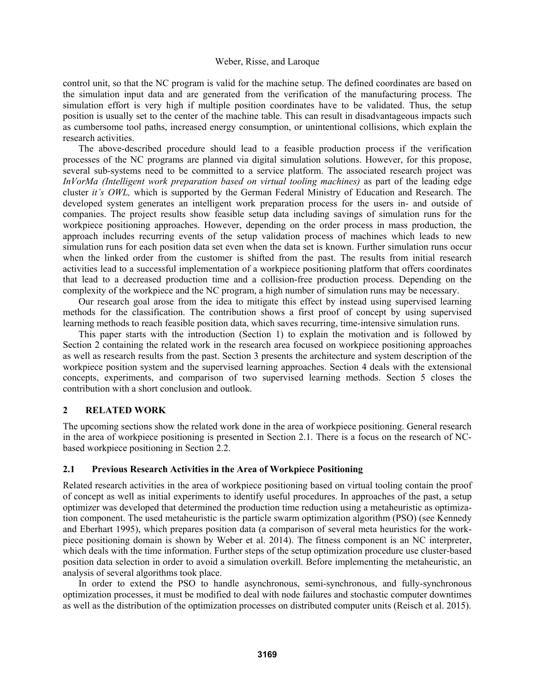control unit, so that the NC program is valid for the machine setup. The defined coordinates are based on the simulation input data and are generated from the verification of the manufacturing process. The simulation effort is very high if multiple position coordinates have to be validated. Thus, the setup position is usually set to the center of the machine table. This can result in disadvantageous impacts such as cumbersome tool paths, increased energy consumption, or unintentional collisions, which explain the research activities.

 The above-described procedure should lead to a feasible production process if the verification processes of the NC programs are planned via digital simulation solutions. However, for this propose, several sub-systems need to be committed to a service platform. The associated research project was *InVorMa (Intelligent work preparation based on virtual tooling machines)* as part of the leading edge cluster *it's OWL,* which is supported by the German Federal Ministry of Education and Research. The developed system generates an intelligent work preparation process for the users in- and outside of companies. The project results show feasible setup data including savings of simulation runs for the workpiece positioning approaches. However, depending on the order process in mass production, the approach includes recurring events of the setup validation process of machines which leads to new simulation runs for each position data set even when the data set is known. Further simulation runs occur when the linked order from the customer is shifted from the past. The results from initial research activities lead to a successful implementation of a workpiece positioning platform that offers coordinates that lead to a decreased production time and a collision-free production process. Depending on the complexity of the workpiece and the NC program, a high number of simulation runs may be necessary.

Our research goal arose from the idea to mitigate this effect by instead using supervised learning methods for the classification. The contribution shows a first proof of concept by using supervised learning methods to reach feasible position data, which saves recurring, time-intensive simulation runs.

 This paper starts with the introduction (Section 1) to explain the motivation and is followed by Section 2 containing the related work in the research area focused on workpiece positioning approaches as well as research results from the past. Section 3 presents the architecture and system description of the workpiece position system and the supervised learning approaches. Section 4 deals with the extensional concepts, experiments, and comparison of two supervised learning methods. Section 5 closes the contribution with a short conclusion and outlook.

# **2 RELATED WORK**

The upcoming sections show the related work done in the area of workpiece positioning. General research in the area of workpiece positioning is presented in Section 2.1. There is a focus on the research of NCbased workpiece positioning in Section 2.2.

### **2.1 Previous Research Activities in the Area of Workpiece Positioning**

Related research activities in the area of workpiece positioning based on virtual tooling contain the proof of concept as well as initial experiments to identify useful procedures. In approaches of the past, a setup optimizer was developed that determined the production time reduction using a metaheuristic as optimization component. The used metaheuristic is the particle swarm optimization algorithm (PSO) (see Kennedy and Eberhart 1995), which prepares position data (a comparison of several meta heuristics for the workpiece positioning domain is shown by Weber et al. 2014). The fitness component is an NC interpreter, which deals with the time information. Further steps of the setup optimization procedure use cluster-based position data selection in order to avoid a simulation overkill. Before implementing the metaheuristic, an analysis of several algorithms took place.

 In order to extend the PSO to handle asynchronous, semi-synchronous, and fully-synchronous optimization processes, it must be modified to deal with node failures and stochastic computer downtimes as well as the distribution of the optimization processes on distributed computer units (Reisch et al. 2015).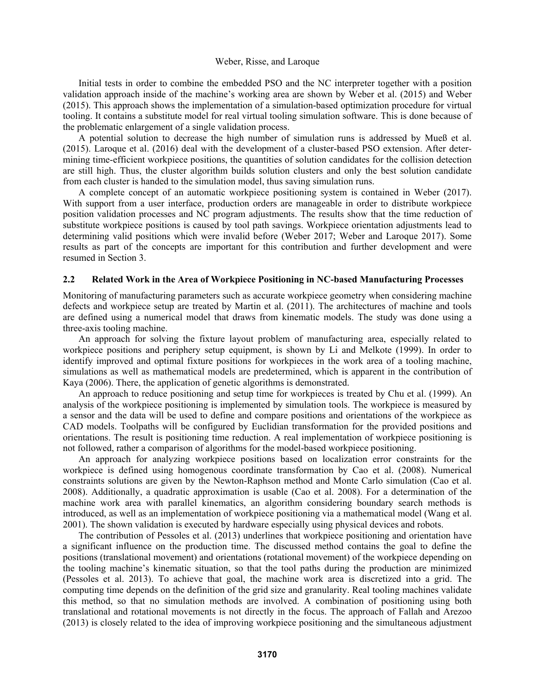Initial tests in order to combine the embedded PSO and the NC interpreter together with a position validation approach inside of the machine's working area are shown by Weber et al. (2015) and Weber (2015). This approach shows the implementation of a simulation-based optimization procedure for virtual tooling. It contains a substitute model for real virtual tooling simulation software. This is done because of the problematic enlargement of a single validation process.

 A potential solution to decrease the high number of simulation runs is addressed by Mueß et al. (2015). Laroque et al. (2016) deal with the development of a cluster-based PSO extension. After determining time-efficient workpiece positions, the quantities of solution candidates for the collision detection are still high. Thus, the cluster algorithm builds solution clusters and only the best solution candidate from each cluster is handed to the simulation model, thus saving simulation runs.

 A complete concept of an automatic workpiece positioning system is contained in Weber (2017). With support from a user interface, production orders are manageable in order to distribute workpiece position validation processes and NC program adjustments. The results show that the time reduction of substitute workpiece positions is caused by tool path savings. Workpiece orientation adjustments lead to determining valid positions which were invalid before (Weber 2017; Weber and Laroque 2017). Some results as part of the concepts are important for this contribution and further development and were resumed in Section 3.

### **2.2 Related Work in the Area of Workpiece Positioning in NC-based Manufacturing Processes**

Monitoring of manufacturing parameters such as accurate workpiece geometry when considering machine defects and workpiece setup are treated by Martin et al. (2011). The architectures of machine and tools are defined using a numerical model that draws from kinematic models. The study was done using a three-axis tooling machine.

 An approach for solving the fixture layout problem of manufacturing area, especially related to workpiece positions and periphery setup equipment, is shown by Li and Melkote (1999). In order to identify improved and optimal fixture positions for workpieces in the work area of a tooling machine, simulations as well as mathematical models are predetermined, which is apparent in the contribution of Kaya (2006). There, the application of genetic algorithms is demonstrated.

 An approach to reduce positioning and setup time for workpieces is treated by Chu et al. (1999). An analysis of the workpiece positioning is implemented by simulation tools. The workpiece is measured by a sensor and the data will be used to define and compare positions and orientations of the workpiece as CAD models. Toolpaths will be configured by Euclidian transformation for the provided positions and orientations. The result is positioning time reduction. A real implementation of workpiece positioning is not followed, rather a comparison of algorithms for the model-based workpiece positioning.

 An approach for analyzing workpiece positions based on localization error constraints for the workpiece is defined using homogenous coordinate transformation by Cao et al. (2008). Numerical constraints solutions are given by the Newton-Raphson method and Monte Carlo simulation (Cao et al. 2008). Additionally, a quadratic approximation is usable (Cao et al. 2008). For a determination of the machine work area with parallel kinematics, an algorithm considering boundary search methods is introduced, as well as an implementation of workpiece positioning via a mathematical model (Wang et al. 2001). The shown validation is executed by hardware especially using physical devices and robots.

 The contribution of Pessoles et al. (2013) underlines that workpiece positioning and orientation have a significant influence on the production time. The discussed method contains the goal to define the positions (translational movement) and orientations (rotational movement) of the workpiece depending on the tooling machine's kinematic situation, so that the tool paths during the production are minimized (Pessoles et al. 2013). To achieve that goal, the machine work area is discretized into a grid. The computing time depends on the definition of the grid size and granularity. Real tooling machines validate this method, so that no simulation methods are involved. A combination of positioning using both translational and rotational movements is not directly in the focus. The approach of Fallah and Arezoo (2013) is closely related to the idea of improving workpiece positioning and the simultaneous adjustment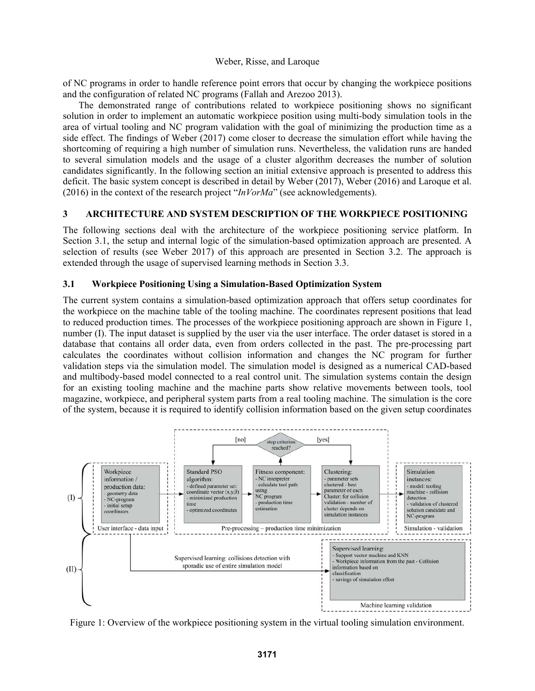of NC programs in order to handle reference point errors that occur by changing the workpiece positions and the configuration of related NC programs (Fallah and Arezoo 2013).

 The demonstrated range of contributions related to workpiece positioning shows no significant solution in order to implement an automatic workpiece position using multi-body simulation tools in the area of virtual tooling and NC program validation with the goal of minimizing the production time as a side effect. The findings of Weber (2017) come closer to decrease the simulation effort while having the shortcoming of requiring a high number of simulation runs. Nevertheless, the validation runs are handed to several simulation models and the usage of a cluster algorithm decreases the number of solution candidates significantly. In the following section an initial extensive approach is presented to address this deficit. The basic system concept is described in detail by Weber (2017), Weber (2016) and Laroque et al. (2016) in the context of the research project "*InVorMa*" (see acknowledgements).

# **3 ARCHITECTURE AND SYSTEM DESCRIPTION OF THE WORKPIECE POSITIONING**

The following sections deal with the architecture of the workpiece positioning service platform. In Section 3.1, the setup and internal logic of the simulation-based optimization approach are presented. A selection of results (see Weber 2017) of this approach are presented in Section 3.2. The approach is extended through the usage of supervised learning methods in Section 3.3.

# **3.1 Workpiece Positioning Using a Simulation-Based Optimization System**

The current system contains a simulation-based optimization approach that offers setup coordinates for the workpiece on the machine table of the tooling machine. The coordinates represent positions that lead to reduced production times. The processes of the workpiece positioning approach are shown in Figure 1, number (I). The input dataset is supplied by the user via the user interface. The order dataset is stored in a database that contains all order data, even from orders collected in the past. The pre-processing part calculates the coordinates without collision information and changes the NC program for further validation steps via the simulation model. The simulation model is designed as a numerical CAD-based and multibody-based model connected to a real control unit. The simulation systems contain the design for an existing tooling machine and the machine parts show relative movements between tools, tool magazine, workpiece, and peripheral system parts from a real tooling machine. The simulation is the core of the system, because it is required to identify collision information based on the given setup coordinates



Figure 1: Overview of the workpiece positioning system in the virtual tooling simulation environment.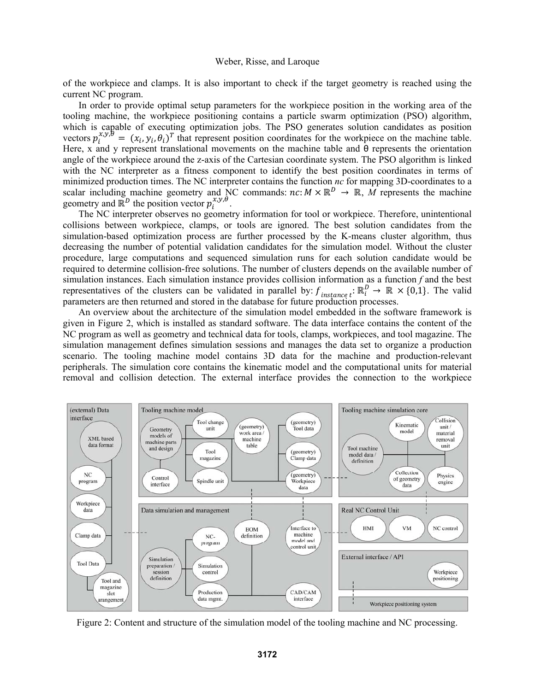of the workpiece and clamps. It is also important to check if the target geometry is reached using the current NC program.

In order to provide optimal setup parameters for the workpiece position in the working area of the tooling machine, the workpiece positioning contains a particle swarm optimization (PSO) algorithm, which is capable of executing optimization jobs. The PSO generates solution candidates as position vectors  $p_i^{x,y,\theta} = (x_i, y_i, \theta_i)^T$  that represent position coordinates for the workpiece on the machine table. Here, x and y represent translational movements on the machine table and θ represents the orientation angle of the workpiece around the z-axis of the Cartesian coordinate system. The PSO algorithm is linked with the NC interpreter as a fitness component to identify the best position coordinates in terms of minimized production times. The NC interpreter contains the function *nc* for mapping 3D-coordinates to a scalar including machine geometry and NC commands:  $nc: M \times \mathbb{R}^D \to \mathbb{R}$ , M represents the machine geometry and  $\mathbb{R}^D$  the position vector  $p_i^{x,y,\theta}$ .

 The NC interpreter observes no geometry information for tool or workpiece. Therefore, unintentional collisions between workpiece, clamps, or tools are ignored. The best solution candidates from the simulation-based optimization process are further processed by the K-means cluster algorithm, thus decreasing the number of potential validation candidates for the simulation model. Without the cluster procedure, large computations and sequenced simulation runs for each solution candidate would be required to determine collision-free solutions. The number of clusters depends on the available number of simulation instances. Each simulation instance provides collision information as a function *f* and the best representatives of the clusters can be validated in parallel by:  $f_{instance, t}$ :  $\mathbb{R}_i^D \to \mathbb{R} \times \{0, 1\}$ . The valid parameters are then returned and stored in the database for future production processes.

 An overview about the architecture of the simulation model embedded in the software framework is given in Figure 2, which is installed as standard software. The data interface contains the content of the NC program as well as geometry and technical data for tools, clamps, workpieces, and tool magazine. The simulation management defines simulation sessions and manages the data set to organize a production scenario. The tooling machine model contains 3D data for the machine and production-relevant peripherals. The simulation core contains the kinematic model and the computational units for material removal and collision detection. The external interface provides the connection to the workpiece



Figure 2: Content and structure of the simulation model of the tooling machine and NC processing.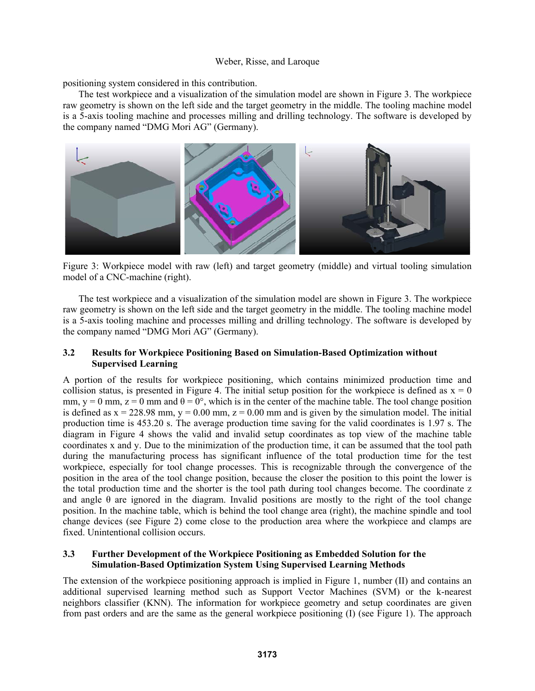positioning system considered in this contribution.

 The test workpiece and a visualization of the simulation model are shown in Figure 3. The workpiece raw geometry is shown on the left side and the target geometry in the middle. The tooling machine model is a 5-axis tooling machine and processes milling and drilling technology. The software is developed by the company named "DMG Mori AG" (Germany).



Figure 3: Workpiece model with raw (left) and target geometry (middle) and virtual tooling simulation model of a CNC-machine (right).

 The test workpiece and a visualization of the simulation model are shown in Figure 3. The workpiece raw geometry is shown on the left side and the target geometry in the middle. The tooling machine model is a 5-axis tooling machine and processes milling and drilling technology. The software is developed by the company named "DMG Mori AG" (Germany).

### **3.2 Results for Workpiece Positioning Based on Simulation-Based Optimization without Supervised Learning**

A portion of the results for workpiece positioning, which contains minimized production time and collision status, is presented in Figure 4. The initial setup position for the workpiece is defined as  $x = 0$ mm, y = 0 mm, z = 0 mm and  $\theta = 0^{\circ}$ , which is in the center of the machine table. The tool change position is defined as  $x = 228.98$  mm,  $y = 0.00$  mm,  $z = 0.00$  mm and is given by the simulation model. The initial production time is 453.20 s. The average production time saving for the valid coordinates is 1.97 s. The diagram in Figure 4 shows the valid and invalid setup coordinates as top view of the machine table coordinates x and y. Due to the minimization of the production time, it can be assumed that the tool path during the manufacturing process has significant influence of the total production time for the test workpiece, especially for tool change processes. This is recognizable through the convergence of the position in the area of the tool change position, because the closer the position to this point the lower is the total production time and the shorter is the tool path during tool changes become. The coordinate z and angle  $\theta$  are ignored in the diagram. Invalid positions are mostly to the right of the tool change position. In the machine table, which is behind the tool change area (right), the machine spindle and tool change devices (see Figure 2) come close to the production area where the workpiece and clamps are fixed. Unintentional collision occurs.

# **3.3 Further Development of the Workpiece Positioning as Embedded Solution for the Simulation-Based Optimization System Using Supervised Learning Methods**

The extension of the workpiece positioning approach is implied in Figure 1, number (II) and contains an additional supervised learning method such as Support Vector Machines (SVM) or the k-nearest neighbors classifier (KNN). The information for workpiece geometry and setup coordinates are given from past orders and are the same as the general workpiece positioning (I) (see Figure 1). The approach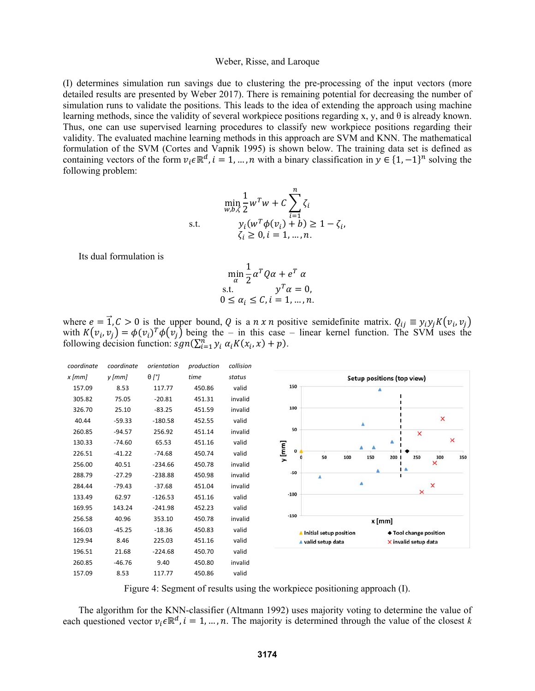(I) determines simulation run savings due to clustering the pre-processing of the input vectors (more detailed results are presented by Weber 2017). There is remaining potential for decreasing the number of simulation runs to validate the positions. This leads to the idea of extending the approach using machine learning methods, since the validity of several workpiece positions regarding x, y, and θ is already known. Thus, one can use supervised learning procedures to classify new workpiece positions regarding their validity. The evaluated machine learning methods in this approach are SVM and KNN. The mathematical formulation of the SVM (Cortes and Vapnik 1995) is shown below. The training data set is defined as containing vectors of the form  $v_i \in \mathbb{R}^d$ ,  $i = 1, ..., n$  with a binary classification in  $y \in \{1, -1\}^n$  solving the following problem:

s.t. 
$$
\min_{w,b,\zeta} \frac{1}{2} w^T w + C \sum_{i=1}^n \zeta_i
$$
  
\ns.t. 
$$
y_i (w^T \phi(v_i) + b) \ge 1 - \zeta_i,
$$

$$
\zeta_i \ge 0, i = 1, ..., n.
$$

Its dual formulation is

$$
\min_{\alpha} \frac{1}{2} \alpha^T Q \alpha + e^T \alpha
$$
  
s.t. 
$$
y^T \alpha = 0,
$$
  

$$
0 \le \alpha_i \le C, i = 1, ..., n.
$$

where  $e = \vec{1}, C > 0$  is the upper bound, Q is a  $n \times n$  positive semidefinite matrix.  $Q_{ij} \equiv y_i y_j K(v_i, v_j)$ with  $K(v_i, v_j) = \phi(v_i)^T \phi(v_j)$  being the – in this case – linear kernel function. The SVM uses the following decision function:  $sgn(\sum_{i=1}^{n} y_i \alpha_i K(x_i, x) + p)$ .



Figure 4: Segment of results using the workpiece positioning approach (I).

 The algorithm for the KNN-classifier (Altmann 1992) uses majority voting to determine the value of each questioned vector  $v_i \in \mathbb{R}^d$ ,  $i = 1, ..., n$ . The majority is determined through the value of the closest *k*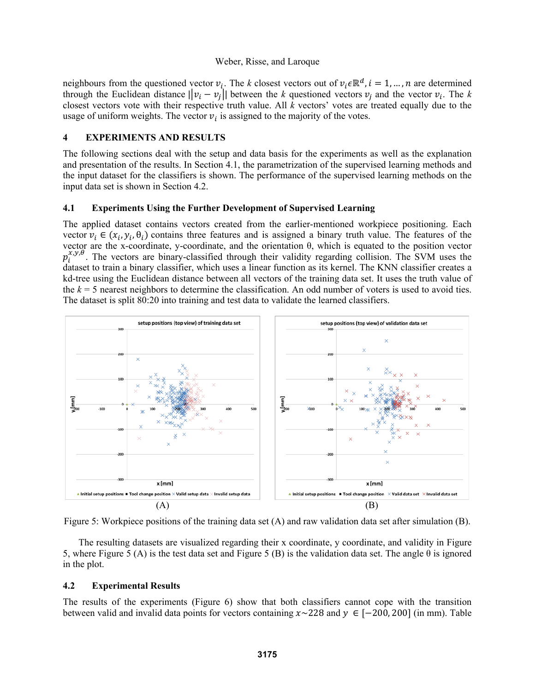neighbours from the questioned vector  $v_i$ . The *k* closest vectors out of  $v_i \in \mathbb{R}^d$ ,  $i = 1, ..., n$  are determined through the Euclidean distance  $\left|\left|v_i - v_j\right|\right|$  between the *k* questioned vectors  $v_i$  and the vector  $v_i$ . The *k* closest vectors vote with their respective truth value. All *k* vectors' votes are treated equally due to the usage of uniform weights. The vector  $v_i$  is assigned to the majority of the votes.

### **4 EXPERIMENTS AND RESULTS**

The following sections deal with the setup and data basis for the experiments as well as the explanation and presentation of the results. In Section 4.1, the parametrization of the supervised learning methods and the input dataset for the classifiers is shown. The performance of the supervised learning methods on the input data set is shown in Section 4.2.

### **4.1 Experiments Using the Further Development of Supervised Learning**

The applied dataset contains vectors created from the earlier-mentioned workpiece positioning. Each vector  $v_i \in (x_i, y_i, \theta_i)$  contains three features and is assigned a binary truth value. The features of the vector are the x-coordinate, y-coordinate, and the orientation θ, which is equated to the position vector  $p_i^{x,y,\theta}$ . The vectors are binary-classified through their validity regarding collision. The SVM uses the dataset to train a binary classifier, which uses a linear function as its kernel. The KNN classifier creates a kd-tree using the Euclidean distance between all vectors of the training data set. It uses the truth value of the  $k = 5$  nearest neighbors to determine the classification. An odd number of voters is used to avoid ties. The dataset is split 80:20 into training and test data to validate the learned classifiers.



Figure 5: Workpiece positions of the training data set (A) and raw validation data set after simulation (B).

The resulting datasets are visualized regarding their x coordinate, y coordinate, and validity in Figure 5, where Figure 5 (A) is the test data set and Figure 5 (B) is the validation data set. The angle  $\theta$  is ignored in the plot.

# **4.2 Experimental Results**

The results of the experiments (Figure 6) show that both classifiers cannot cope with the transition between valid and invalid data points for vectors containing  $x \sim 228$  and  $y \in [-200, 200]$  (in mm). Table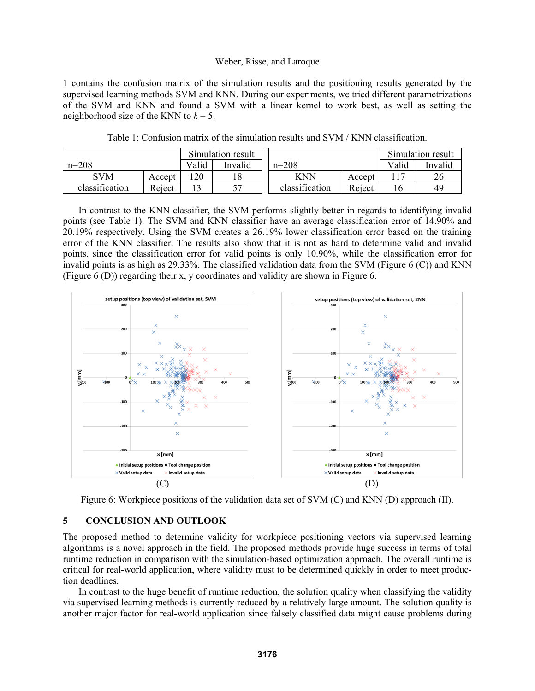1 contains the confusion matrix of the simulation results and the positioning results generated by the supervised learning methods SVM and KNN. During our experiments, we tried different parametrizations of the SVM and KNN and found a SVM with a linear kernel to work best, as well as setting the neighborhood size of the KNN to  $k = 5$ .

|                |        | Simulation result |         |                |        | Simulation result |         |
|----------------|--------|-------------------|---------|----------------|--------|-------------------|---------|
| $n=208$        |        | Valid             | Invalid | $n=208$        |        | Valid             | Invalid |
| <b>SVM</b>     | Accept | 20                |         | KNN            | Accept |                   |         |
| classification | Reject |                   |         | classification | Reject |                   | 49      |

Table 1: Confusion matrix of the simulation results and SVM / KNN classification.

 In contrast to the KNN classifier, the SVM performs slightly better in regards to identifying invalid points (see Table 1). The SVM and KNN classifier have an average classification error of 14.90% and 20.19% respectively. Using the SVM creates a 26.19% lower classification error based on the training error of the KNN classifier. The results also show that it is not as hard to determine valid and invalid points, since the classification error for valid points is only 10.90%, while the classification error for invalid points is as high as 29.33%. The classified validation data from the SVM (Figure  $6$  (C)) and KNN (Figure 6 (D)) regarding their x, y coordinates and validity are shown in Figure 6.



Figure 6: Workpiece positions of the validation data set of SVM (C) and KNN (D) approach (II).

# **5 CONCLUSION AND OUTLOOK**

The proposed method to determine validity for workpiece positioning vectors via supervised learning algorithms is a novel approach in the field. The proposed methods provide huge success in terms of total runtime reduction in comparison with the simulation-based optimization approach. The overall runtime is critical for real-world application, where validity must to be determined quickly in order to meet production deadlines.

In contrast to the huge benefit of runtime reduction, the solution quality when classifying the validity via supervised learning methods is currently reduced by a relatively large amount. The solution quality is another major factor for real-world application since falsely classified data might cause problems during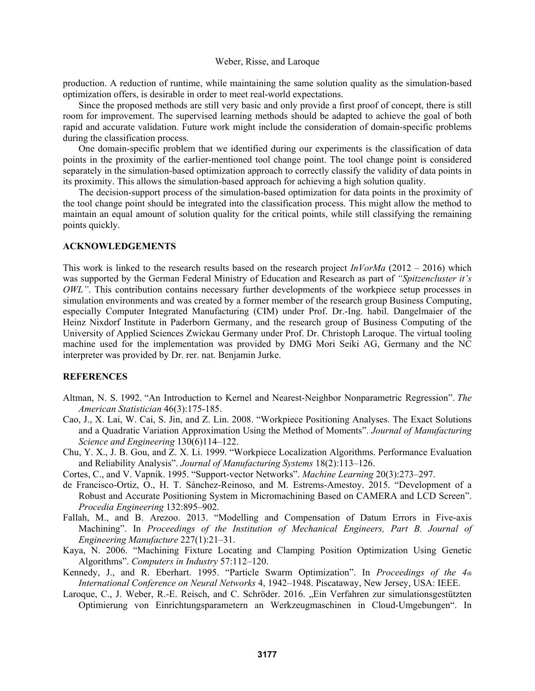production. A reduction of runtime, while maintaining the same solution quality as the simulation-based optimization offers, is desirable in order to meet real-world expectations.

Since the proposed methods are still very basic and only provide a first proof of concept, there is still room for improvement. The supervised learning methods should be adapted to achieve the goal of both rapid and accurate validation. Future work might include the consideration of domain-specific problems during the classification process.

One domain-specific problem that we identified during our experiments is the classification of data points in the proximity of the earlier-mentioned tool change point. The tool change point is considered separately in the simulation-based optimization approach to correctly classify the validity of data points in its proximity. This allows the simulation-based approach for achieving a high solution quality.

The decision-support process of the simulation-based optimization for data points in the proximity of the tool change point should be integrated into the classification process. This might allow the method to maintain an equal amount of solution quality for the critical points, while still classifying the remaining points quickly.

### **ACKNOWLEDGEMENTS**

This work is linked to the research results based on the research project *InVorMa* (2012 – 2016) which was supported by the German Federal Ministry of Education and Research as part of *"Spitzencluster it's OWL"*. This contribution contains necessary further developments of the workpiece setup processes in simulation environments and was created by a former member of the research group Business Computing, especially Computer Integrated Manufacturing (CIM) under Prof. Dr.-Ing. habil. Dangelmaier of the Heinz Nixdorf Institute in Paderborn Germany, and the research group of Business Computing of the University of Applied Sciences Zwickau Germany under Prof. Dr. Christoph Laroque. The virtual tooling machine used for the implementation was provided by DMG Mori Seiki AG, Germany and the NC interpreter was provided by Dr. rer. nat. Benjamin Jurke.

### **REFERENCES**

- Altman, N. S. 1992. "An Introduction to Kernel and Nearest-Neighbor Nonparametric Regression". *The American Statistician* 46(3):175-185.
- Cao, J., X. Lai, W. Cai, S. Jin, and Z. Lin. 2008. "Workpiece Positioning Analyses. The Exact Solutions and a Quadratic Variation Approximation Using the Method of Moments". *Journal of Manufacturing Science and Engineering* 130(6)114–122.
- Chu, Y. X., J. B. Gou, and Z. X. Li. 1999. "Workpiece Localization Algorithms. Performance Evaluation and Reliability Analysis". *Journal of Manufacturing Systems* 18(2):113–126.
- Cortes, C., and V. Vapnik. 1995. "Support-vector Networks". *Machine Learning* 20(3):273–297.
- de Francisco-Ortiz, O., H. T. Sánchez-Reinoso, and M. Estrems-Amestoy. 2015. "Development of a Robust and Accurate Positioning System in Micromachining Based on CAMERA and LCD Screen". *Procedia Engineering* 132:895–902.
- Fallah, M., and B. Arezoo. 2013. "Modelling and Compensation of Datum Errors in Five-axis Machining". In *Proceedings of the Institution of Mechanical Engineers, Part B. Journal of Engineering Manufacture* 227(1):21–31.
- Kaya, N. 2006. "Machining Fixture Locating and Clamping Position Optimization Using Genetic Algorithms". *Computers in Industry* 57:112–120.
- Kennedy, J., and R. Eberhart. 1995. "Particle Swarm Optimization". In *Proceedings of the 4th International Conference on Neural Networks* 4, 1942–1948. Piscataway, New Jersey, USA: IEEE.
- Laroque, C., J. Weber, R.-E. Reisch, and C. Schröder. 2016. "Ein Verfahren zur simulationsgestützten Optimierung von Einrichtungsparametern an Werkzeugmaschinen in Cloud-Umgebungen". In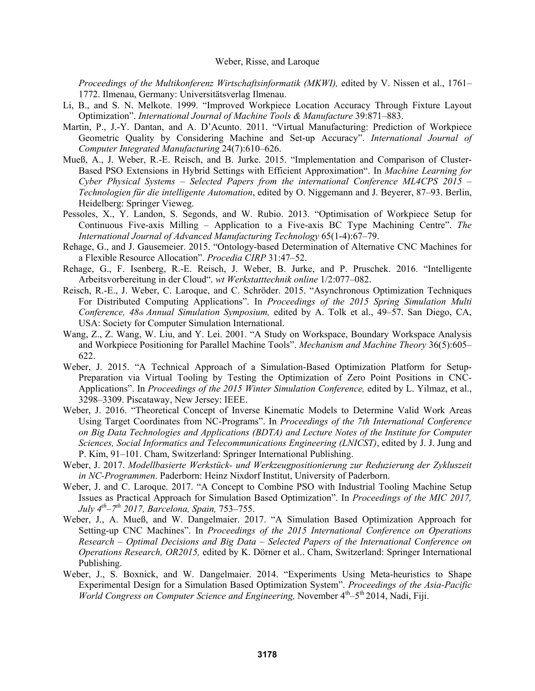*Proceedings of the Multikonferenz Wirtschaftsinformatik (MKWI)*, edited by V. Nissen et al., 1761– 1772. Ilmenau, Germany: Universitätsverlag Ilmenau.

- Li, B., and S. N. Melkote. 1999. "Improved Workpiece Location Accuracy Through Fixture Layout Optimization". *International Journal of Machine Tools & Manufacture* 39:871–883.
- Martin, P., J.-Y. Dantan, and A. D'Acunto. 2011. "Virtual Manufacturing: Prediction of Workpiece Geometric Quality by Considering Machine and Set-up Accuracy". *International Journal of Computer Integrated Manufacturing* 24(7):610–626.
- Mueß, A., J. Weber, R.-E. Reisch, and B. Jurke. 2015. "Implementation and Comparison of Cluster-Based PSO Extensions in Hybrid Settings with Efficient Approximation". In *Machine Learning for Cyber Physical Systems – Selected Papers from the international Conference ML4CPS 2015 – Technologien für die intelligente Automation*, edited by O. Niggemann and J. Beyerer, 87–93. Berlin, Heidelberg: Springer Vieweg.
- Pessoles, X., Y. Landon, S. Segonds, and W. Rubio. 2013. "Optimisation of Workpiece Setup for Continuous Five-axis Milling – Application to a Five-axis BC Type Machining Centre". *The International Journal of Advanced Manufacturing Technology* 65(1-4):67–79.
- Rehage, G., and J. Gausemeier. 2015. "Ontology-based Determination of Alternative CNC Machines for a Flexible Resource Allocation". *Procedia CIRP* 31:47–52.
- Rehage, G., F. Isenberg, R.-E. Reisch, J. Weber, B. Jurke, and P. Pruschek. 2016. "Intelligente Arbeitsvorbereitung in der Cloud". *wt Werkstatttechnik online* 1/2:077–082.
- Reisch, R.-E., J. Weber, C. Laroque, and C. Schröder. 2015. "Asynchronous Optimization Techniques For Distributed Computing Applications". In *Proceedings of the 2015 Spring Simulation Multi Conference, 48th Annual Simulation Symposium,* edited by A. Tolk et al., 49–57. San Diego, CA, USA: Society for Computer Simulation International.
- Wang, Z., Z. Wang, W. Liu, and Y. Lei. 2001. "A Study on Workspace, Boundary Workspace Analysis and Workpiece Positioning for Parallel Machine Tools". *Mechanism and Machine Theory* 36(5):605– 622.
- Weber, J. 2015. "A Technical Approach of a Simulation-Based Optimization Platform for Setup-Preparation via Virtual Tooling by Testing the Optimization of Zero Point Positions in CNC-Applications". In *Proceedings of the 2015 Winter Simulation Conference,* edited by L. Yilmaz, et al., 3298–3309. Piscataway, New Jersey: IEEE.
- Weber, J. 2016. "Theoretical Concept of Inverse Kinematic Models to Determine Valid Work Areas Using Target Coordinates from NC-Programs". In *Proceedings of the 7th International Conference on Big Data Technologies and Applications (BDTA) and Lecture Notes of the Institute for Computer Sciences, Social Informatics and Telecommunications Engineering (LNICST)*, edited by J. J. Jung and P. Kim, 91–101. Cham, Switzerland: Springer International Publishing.
- Weber, J. 2017. *Modellbasierte Werkstück- und Werkzeugpositionierung zur Reduzierung der Zykluszeit in NC-Programmen*. Paderborn: Heinz Nixdorf Institut, University of Paderborn.
- Weber, J. and C. Laroque. 2017. "A Concept to Combine PSO with Industrial Tooling Machine Setup Issues as Practical Approach for Simulation Based Optimization". In *Proceedings of the MIC 2017, July 4th–7th 2017, Barcelona, Spain,* 753–755.
- Weber, J., A. Mueß, and W. Dangelmaier. 2017. "A Simulation Based Optimization Approach for Setting-up CNC Machines". In *Proceedings of the 2015 International Conference on Operations Research – Optimal Decisions and Big Data – Selected Papers of the International Conference on Operations Research, OR2015,* edited by K. Dörner et al.. Cham, Switzerland: Springer International Publishing.
- Weber, J., S. Boxnick, and W. Dangelmaier. 2014. "Experiments Using Meta-heuristics to Shape Experimental Design for a Simulation Based Optimization System". *Proceedings of the Asia-Pacific World Congress on Computer Science and Engineering, November 4<sup>th</sup>–5<sup>th</sup> 2014, Nadi, Fiji.*